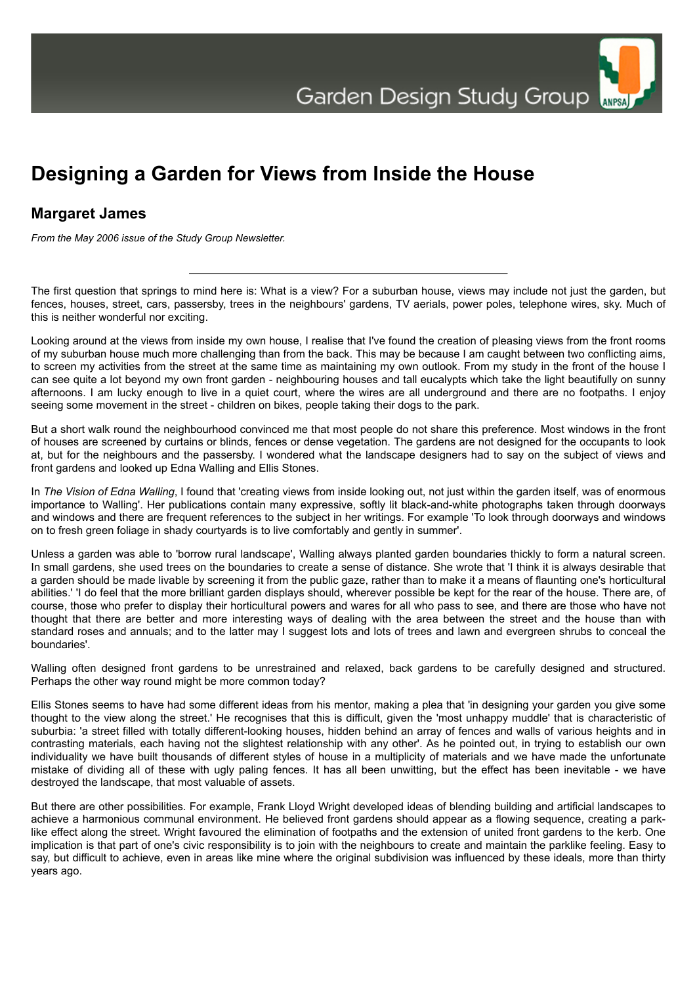## **Designing a Garden for Views from Inside the House**

## **Margaret James**

*From the May 2006 issue of the Study Group Newsletter.*

The first question that springs to mind here is: What is a view? For a suburban house, views may include not just the garden, but fences, houses, street, cars, passersby, trees in the neighbours' gardens, TV aerials, power poles, telephone wires, sky. Much of this is neither wonderful nor exciting.

Looking around at the views from inside my own house, I realise that I've found the creation of pleasing views from the front rooms of my suburban house much more challenging than from the back. This may be because I am caught between two conflicting aims, to screen my activities from the street at the same time as maintaining my own outlook. From my study in the front of the house I can see quite a lot beyond my own front garden - neighbouring houses and tall eucalypts which take the light beautifully on sunny afternoons. I am lucky enough to live in a quiet court, where the wires are all underground and there are no footpaths. I enjoy seeing some movement in the street - children on bikes, people taking their dogs to the park.

But a short walk round the neighbourhood convinced me that most people do not share this preference. Most windows in the front of houses are screened by curtains or blinds, fences or dense vegetation. The gardens are not designed for the occupants to look at, but for the neighbours and the passersby. I wondered what the landscape designers had to say on the subject of views and front gardens and looked up Edna Walling and Ellis Stones.

In *The Vision of Edna Walling*, I found that 'creating views from inside looking out, not just within the garden itself, was of enormous importance to Walling'. Her publications contain many expressive, softly lit black-and-white photographs taken through doorways and windows and there are frequent references to the subject in her writings. For example 'To look through doorways and windows on to fresh green foliage in shady courtyards is to live comfortably and gently in summer'.

Unless a garden was able to 'borrow rural landscape', Walling always planted garden boundaries thickly to form a natural screen. In small gardens, she used trees on the boundaries to create a sense of distance. She wrote that 'I think it is always desirable that a garden should be made livable by screening it from the public gaze, rather than to make it a means of flaunting one's horticultural abilities.' 'I do feel that the more brilliant garden displays should, wherever possible be kept for the rear of the house. There are, of course, those who prefer to display their horticultural powers and wares for all who pass to see, and there are those who have not thought that there are better and more interesting ways of dealing with the area between the street and the house than with standard roses and annuals; and to the latter may I suggest lots and lots of trees and lawn and evergreen shrubs to conceal the boundaries'.

Walling often designed front gardens to be unrestrained and relaxed, back gardens to be carefully designed and structured. Perhaps the other way round might be more common today?

Ellis Stones seems to have had some different ideas from his mentor, making a plea that 'in designing your garden you give some thought to the view along the street.' He recognises that this is difficult, given the 'most unhappy muddle' that is characteristic of suburbia: 'a street filled with totally different-looking houses, hidden behind an array of fences and walls of various heights and in contrasting materials, each having not the slightest relationship with any other'. As he pointed out, in trying to establish our own individuality we have built thousands of different styles of house in a multiplicity of materials and we have made the unfortunate mistake of dividing all of these with ugly paling fences. It has all been unwitting, but the effect has been inevitable - we have destroyed the landscape, that most valuable of assets.

But there are other possibilities. For example, Frank Lloyd Wright developed ideas of blending building and artificial landscapes to achieve a harmonious communal environment. He believed front gardens should appear as a flowing sequence, creating a parklike effect along the street. Wright favoured the elimination of footpaths and the extension of united front gardens to the kerb. One implication is that part of one's civic responsibility is to join with the neighbours to create and maintain the parklike feeling. Easy to say, but difficult to achieve, even in areas like mine where the original subdivision was influenced by these ideals, more than thirty years ago.